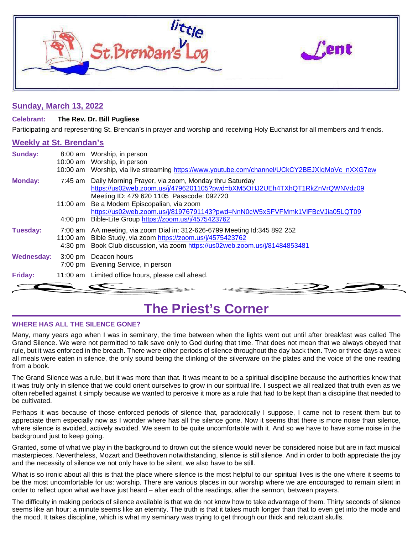

### **Sunday, March 13, 2022**

### **Celebrant: The Rev. Dr. Bill Pugliese**

Participating and representing St. Brendan's in prayer and worship and receiving Holy Eucharist for all members and friends.

### **Weekly at St. Brendan's**

| <b>Sunday:</b> | $8:00$ am | Worship, in person<br>10:00 am Worship, in person<br>10:00 am Worship, via live streaming https://www.youtube.com/channel/UCkCY2BEJXIgMoVc nXXG7ew                                                                       |
|----------------|-----------|--------------------------------------------------------------------------------------------------------------------------------------------------------------------------------------------------------------------------|
| <b>Monday:</b> |           | 7:45 am Daily Morning Prayer, via zoom, Monday thru Saturday<br>https://us02web.zoom.us/j/4796201105?pwd=bXM5OHJ2UEh4TXhQT1RkZnVrQWNVdz09<br>Meeting ID: 479 620 1105 Passcode: 092720                                   |
|                |           | 11:00 am Be a Modern Episcopalian, via zoom<br>https://us02web.zoom.us/j/81976791143?pwd=NnN0cW5xSFVFMmk1VIFBcVJia05LQT09<br>4:00 pm Bible-Lite Group https://zoom.us/j/4575423762                                       |
| Tuesday:       |           | 7:00 am AA meeting, via zoom Dial in: 312-626-6799 Meeting Id:345 892 252<br>11:00 am Bible Study, via zoom https://zoom.us/j/4575423762<br>4:30 pm Book Club discussion, via zoom https://us02web.zoom.us/j/81484853481 |
| Wednesday:     |           | 3:00 pm Deacon hours<br>7:00 pm Evening Service, in person                                                                                                                                                               |
| Friday:        |           | 11:00 am Limited office hours, please call ahead.                                                                                                                                                                        |
|                |           |                                                                                                                                                                                                                          |

### **The Priest's Corner**

### **WHERE HAS ALL THE SILENCE GONE?**

Many, many years ago when I was in seminary, the time between when the lights went out until after breakfast was called The Grand Silence. We were not permitted to talk save only to God during that time. That does not mean that we always obeyed that rule, but it was enforced in the breach. There were other periods of silence throughout the day back then. Two or three days a week all meals were eaten in silence, the only sound being the clinking of the silverware on the plates and the voice of the one reading from a book.

The Grand Silence was a rule, but it was more than that. It was meant to be a spiritual discipline because the authorities knew that it was truly only in silence that we could orient ourselves to grow in our spiritual life. I suspect we all realized that truth even as we often rebelled against it simply because we wanted to perceive it more as a rule that had to be kept than a discipline that needed to be cultivated.

Perhaps it was because of those enforced periods of silence that, paradoxically I suppose, I came not to resent them but to appreciate them especially now as I wonder where has all the silence gone. Now it seems that there is more noise than silence, where silence is avoided, actively avoided. We seem to be quite uncomfortable with it. And so we have to have some noise in the background just to keep going.

Granted, some of what we play in the background to drown out the silence would never be considered noise but are in fact musical masterpieces. Nevertheless, Mozart and Beethoven notwithstanding, silence is still silence. And in order to both appreciate the joy and the necessity of silence we not only have to be silent, we also have to be still.

What is so ironic about all this is that the place where silence is the most helpful to our spiritual lives is the one where it seems to be the most uncomfortable for us: worship. There are various places in our worship where we are encouraged to remain silent in order to reflect upon what we have just heard – after each of the readings, after the sermon, between prayers.

The difficulty in making periods of silence available is that we do not know how to take advantage of them. Thirty seconds of silence seems like an hour; a minute seems like an eternity. The truth is that it takes much longer than that to even get into the mode and the mood. It takes discipline, which is what my seminary was trying to get through our thick and reluctant skulls.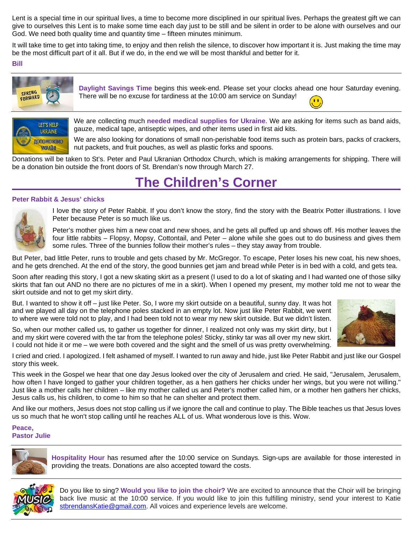Lent is a special time in our spiritual lives, a time to become more disciplined in our spiritual lives. Perhaps the greatest gift we can give to ourselves this Lent is to make some time each day just to be still and be silent in order to be alone with ourselves and our God. We need both quality time and quantity time – fifteen minutes minimum.

It will take time to get into taking time, to enjoy and then relish the silence, to discover how important it is. Just making the time may be the most difficult part of it all. But if we do, in the end we will be most thankful and better for it.

### **Bill**



**Daylight Savings Time** begins this week-end. Please set your clocks ahead one hour Saturday evening. There will be no excuse for tardiness at the 10:00 am service on Sunday!  $\bullet$ 



We are collecting much **needed medical supplies for Ukraine**. We are asking for items such as band aids, gauze, medical tape, antiseptic wipes, and other items used in first aid kits.

We are also looking for donations of small non-perishable food items such as protein bars, packs of crackers, nut packets, and fruit pouches, as well as plastic forks and spoons.

Donations will be taken to St's. Peter and Paul Ukranian Orthodox Church, which is making arrangements for shipping. There will be a donation bin outside the front doors of St. Brendan's now through March 27.

## **The Children's Corner**

### **Peter Rabbit & Jesus' chicks**



I love the story of Peter Rabbit. If you don't know the story, find the story with the Beatrix Potter illustrations. I love Peter because Peter is so much like us.

Peter's mother gives him a new coat and new shoes, and he gets all puffed up and shows off. His mother leaves the four little rabbits – Flopsy, Mopsy, Cottontail, and Peter – alone while she goes out to do business and gives them some rules. Three of the bunnies follow their mother's rules – they stay away from trouble.

But Peter, bad little Peter, runs to trouble and gets chased by Mr. McGregor. To escape, Peter loses his new coat, his new shoes, and he gets drenched. At the end of the story, the good bunnies get jam and bread while Peter is in bed with a cold, and gets tea.

Soon after reading this story, I got a new skating skirt as a present (I used to do a lot of skating and I had wanted one of those silky skirts that fan out AND no there are no pictures of me in a skirt). When I opened my present, my mother told me not to wear the skirt outside and not to get my skirt dirty.

But. I wanted to show it off – just like Peter. So, I wore my skirt outside on a beautiful, sunny day. It was hot and we played all day on the telephone poles stacked in an empty lot. Now just like Peter Rabbit, we went to where we were told not to play, and I had been told not to wear my new skirt outside. But we didn't listen.

So, when our mother called us, to gather us together for dinner, I realized not only was my skirt dirty, but I and my skirt were covered with the tar from the telephone poles! Sticky, stinky tar was all over my new skirt. I could not hide it or me – we were both covered and the sight and the smell of us was pretty overwhelming.



I cried and cried. I apologized. I felt ashamed of myself. I wanted to run away and hide, just like Peter Rabbit and just like our Gospel story this week.

This week in the Gospel we hear that one day Jesus looked over the city of Jerusalem and cried. He said, "Jerusalem, Jerusalem, how often I have longed to gather your children together, as a hen gathers her chicks under her wings, but you were not willing." Just like a mother calls her children – like my mother called us and Peter's mother called him, or a mother hen gathers her chicks, Jesus calls us, his children, to come to him so that he can shelter and protect them.

And like our mothers, Jesus does not stop calling us if we ignore the call and continue to play. The Bible teaches us that Jesus loves us so much that he won't stop calling until he reaches ALL of us. What wonderous love is this. Wow.

### **Peace, Pastor Julie**



**Hospitality Hour** has resumed after the 10:00 service on Sundays. Sign-ups are available for those interested in providing the treats. Donations are also accepted toward the costs.



Do you like to sing? **Would you like to join the choir?** We are excited to announce that the Choir will be bringing back live music at the 10:00 service. If you would like to join this fulfilling ministry, send your interest to Katie [stbrendansKatie@gmail.com.](mailto:stbrendansKatie@gmail.com) All voices and experience levels are welcome.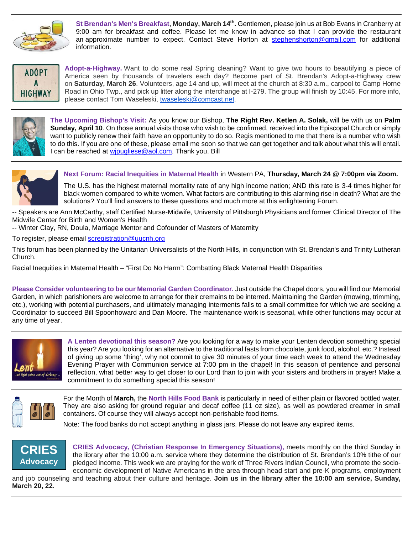

St Brendan's Men's Breakfast, Monday, March 14<sup>th</sup>. Gentlemen, please join us at Bob Evans in Cranberry at 9:00 am for breakfast and coffee. Please let me know in advance so that I can provide the restaurant an approximate number to expect. Contact Steve Horton at [stephenshorton@gmail.com](mailto:stephenshorton@gmail.com) for additional information.



**Adopt-a-Highway.** Want to do some real Spring cleaning? Want to give two hours to beautifying a piece of America seen by thousands of travelers each day? Become part of St. Brendan's Adopt-a-Highway crew on **Saturday, March 26**. Volunteers, age 14 and up, will meet at the church at 8:30 a.m., carpool to Camp Horne Road in Ohio Twp., and pick up litter along the interchange at I-279. The group will finish by 10:45. For more info, please contact Tom Waseleski, [twaseleski@comcast.net.](mailto:twaseleski@comcast.net)



**The Upcoming Bishop's Visit:** As you know our Bishop, **The Right Rev. Ketlen A. Solak,** will be with us on **Palm Sunday, April 10**. On those annual visits those who wish to be confirmed, received into the Episcopal Church or simply want to publicly renew their faith have an opportunity to do so. Regis mentioned to me that there is a number who wish to do this. If you are one of these, please email me soon so that we can get together and talk about what this will entail. I can be reached at wipugliese@aol.com. Thank you. Bill



**Next Forum: Racial Inequities in Maternal Health** in Western PA, **Thursday, March 24 @ 7:00pm via Zoom.**

The U.S. has the highest maternal mortality rate of any high income nation; AND this rate is 3-4 times higher for black women compared to white women. What factors are contributing to this alarming rise in death? What are the solutions? You'll find answers to these questions and much more at this enlightening Forum.

-- Speakers are Ann McCarthy, staff Certified Nurse-Midwife, University of Pittsburgh Physicians and former Clinical Director of The Midwife Center for Birth and Women's Health

-- Winter Clay, RN, Doula, Marriage Mentor and Cofounder of Masters of Maternity

To register, please email [scregistration@uucnh.org](mailto:scregistration@uucnh.org)

This forum has been planned by the Unitarian Universalists of the North Hills, in conjunction with St. Brendan's and Trinity Lutheran Church.

Racial Inequities in Maternal Health – "First Do No Harm": Combatting Black Maternal Health Disparities

**Please Consider volunteering to be our Memorial Garden Coordinator.** Just outside the Chapel doors, you will find our Memorial Garden, in which parishioners are welcome to arrange for their cremains to be interred. Maintaining the Garden (mowing, trimming, etc.), working with potential purchasers, and ultimately managing interments falls to a small committee for which we are seeking a Coordinator to succeed Bill Spoonhoward and Dan Moore. The maintenance work is seasonal, while other functions may occur at any time of year.



**A Lenten devotional this season?** Are you looking for a way to make your Lenten devotion something special this year? Are you looking for an alternative to the traditional fasts from chocolate, junk food, alcohol, etc.? Instead of giving up some 'thing', why not commit to give 30 minutes of your time each week to attend the Wednesday Evening Prayer with Communion service at 7:00 pm in the chapel! In this season of penitence and personal reflection, what better way to get closer to our Lord than to join with your sisters and brothers in prayer! Make a commitment to do something special this season!



For the Month of **March,** the **North Hills Food Bank** is particularly in need of either plain or flavored bottled water. They are also asking for ground regular and decaf coffee (11 oz size), as well as powdered creamer in small containers. Of course they will always accept non-perishable food items.

Note: The food banks do not accept anything in glass jars. Please do not leave any expired items.



**CRIES Advocacy, (Christian Response In Emergency Situations),** meets monthly on the third Sunday in the library after the 10:00 a.m. service where they determine the distribution of St. Brendan's 10% tithe of our pledged income. This week we are praying for the work of Three Rivers Indian Council, who promote the socioeconomic development of Native Americans in the area through head start and pre-K programs, employment and job counseling and teaching about their culture and heritage. **Join us in the library after the 10:00 am service, Sunday,** 

**March 20, 22.**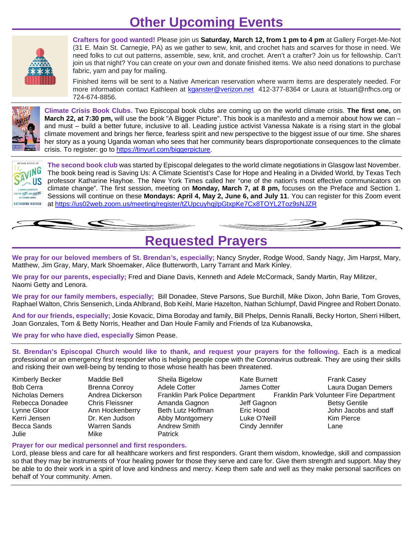# **Other Upcoming Events**



**Crafters for good wanted!** Please join us **Saturday, March 12, from 1 pm to 4 pm** at Gallery Forget-Me-Not (31 E. Main St. Carnegie, PA) as we gather to sew, knit, and crochet hats and scarves for those in need. We need folks to cut out patterns, assemble, sew, knit, and crochet. Aren't a crafter? Join us for fellowship. Can't join us that night? You can create on your own and donate finished items. We also need donations to purchase fabric, yarn and pay for mailing.

Finished items will be sent to a Native American reservation where warm items are desperately needed. For more information contact Kathleen at [kganster@verizon.net](mailto:kganster@verizon.net) 412-377-8364 or Laura at Istuart@nfhcs.org or 724-674-8856.



**Climate Crisis Book Clubs.** Two Episcopal book clubs are coming up on the world climate crisis. **The first one,** on **March 22, at 7:30 pm,** will use the book "A Bigger Picture". This book is a manifesto and a memoir about how we can – and must – build a better future, inclusive to all. Leading justice activist Vanessa Nakate is a rising start in the global climate movement and brings her fierce, fearless spirit and new perspective to the biggest issue of our time. She shares her story as a young Uganda woman who sees that her community bears disproportionate consequences to the climate crisis. To register: go to [https://tinyurl.com/biggerpicture.](https://tinyurl.com/biggerpicture)



**The second book club** was started by Episcopal delegates to the world climate negotiations in Glasgow last November. The book being read is Saving Us: A Climate Scientist's Case for Hope and Healing in a Divided World, by Texas Tech professor Katharine Hayhoe. The New York Times called her "one of the nation's most effective communicators on climate change". The first session, meeting on **Monday, March 7, at 8 pm,** focuses on the Preface and Section 1. Sessions will continue on these **Mondays: April 4, May 2, June 6, and July 11**. You can register for this Zoom event at <https://us02web.zoom.us/meeting/register/tZUpcuyhqjIpGtxpKe7Cx8TOYL2Toz9sNJZR>

### **Requested Prayers**

**We pray for our beloved members of St. Brendan's, especially;** Nancy Snyder, Rodge Wood, Sandy Nagy, Jim Harpst, Mary, Matthew, Jim Gray, Mary, Mark Shoemaker, Alice Butterworth, Larry Tarrant and Mark Kinley.

**We pray for our parents, especially;** Fred and Diane Davis, Kenneth and Adele McCormack, Sandy Martin, Ray Militzer, Naomi Getty and Lenora.

**We pray for our family members, especially;** Bill Donadee, Steve Parsons, Sue Burchill, Mike Dixon, John Barie, Tom Groves, Raphael Walton, Chris Sensenich, Linda Ahlbrand, Bob Keihl, Marie Hazelton, Nathan Schlumpf, David Pingree and Robert Donato.

**And for our friends, especially;** Josie Kovacic, Dima Boroday and family, Bill Phelps, Dennis Ranalli, Becky Horton, Sherri Hilbert, Joan Gonzales, Tom & Betty Norris, Heather and Dan Houle Family and Friends of Iza Kubanowska,

**We pray for who have died, especially** Simon Pease.

**St. Brendan's Episcopal Church would like to thank, and request your prayers for the following.** Each is a medical professional or an emergency first responder who is helping people cope with the Coronavirus outbreak. They are using their skills and risking their own well-being by tending to those whose health has been threatened.

| Kimberly Becker  | Maddie Bell            | Sheila Bigelow                  | Kate Burnett   | <b>Frank Casey</b>                      |
|------------------|------------------------|---------------------------------|----------------|-----------------------------------------|
| <b>Bob Cerra</b> | <b>Brenna Conroy</b>   | Adele Cotter                    | James Cotter   | Laura Dugan Demers                      |
| Nicholas Demers  | Andrea Dickerson       | Franklin Park Police Department |                | Franklin Park Volunteer Fire Department |
| Rebecca Donadee  | <b>Chris Fleissner</b> | Amanda Gagnon                   | Jeff Gagnon    | <b>Betsy Gentile</b>                    |
| Lynne Gloor      | Ann Hockenberry        | Beth Lutz Hoffman               | Eric Hood      | John Jacobs and staff                   |
| Kerri Jensen     | Dr. Ken Judson         | Abby Montgomery                 | Luke O'Neill   | Kim Pierce                              |
| Becca Sands      | Warren Sands           | Andrew Smith                    | Cindy Jennifer | Lane                                    |
| Julie            | Mike                   | <b>Patrick</b>                  |                |                                         |

### **Prayer for our medical personnel and first responders.**

Lord, please bless and care for all healthcare workers and first responders. Grant them wisdom, knowledge, skill and compassion so that they may be instruments of Your healing power for those they serve and care for. Give them strength and support. May they be able to do their work in a spirit of love and kindness and mercy. Keep them safe and well as they make personal sacrifices on behalf of Your community. Amen.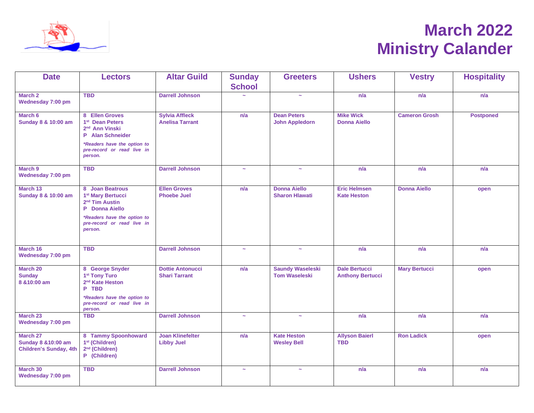

# **March 2022 Ministry Calander**

| <b>Date</b>                                                      | <b>Lectors</b>                                                                                                                 | <b>Altar Guild</b>                              | <b>Sunday</b>         | <b>Greeters</b>                                 | <b>Ushers</b>                                   | <b>Vestry</b>        | <b>Hospitality</b> |
|------------------------------------------------------------------|--------------------------------------------------------------------------------------------------------------------------------|-------------------------------------------------|-----------------------|-------------------------------------------------|-------------------------------------------------|----------------------|--------------------|
|                                                                  |                                                                                                                                |                                                 | <b>School</b>         |                                                 |                                                 |                      |                    |
| March 2<br>Wednesday 7:00 pm                                     | <b>TBD</b>                                                                                                                     | <b>Darrell Johnson</b>                          |                       | $\tilde{\phantom{a}}$                           | n/a                                             | n/a                  | n/a                |
| March 6<br>Sunday 8 & 10:00 am                                   | 8 Ellen Groves<br>1 <sup>st</sup> Dean Peters<br>2 <sup>nd</sup> Ann Vinski<br>P Alan Schneider<br>*Readers have the option to | <b>Sylvia Affleck</b><br><b>Anelisa Tarrant</b> | n/a                   | <b>Dean Peters</b><br><b>John Appledorn</b>     | <b>Mike Wick</b><br><b>Donna Aiello</b>         | <b>Cameron Grosh</b> | <b>Postponed</b>   |
|                                                                  | pre-record or read live in<br>person.                                                                                          |                                                 |                       |                                                 |                                                 |                      |                    |
| March 9<br>Wednesday 7:00 pm                                     | <b>TBD</b>                                                                                                                     | <b>Darrell Johnson</b>                          | $\sim$                | $\sim$                                          | n/a                                             | n/a                  | n/a                |
| March 13<br>Sunday 8 & 10:00 am                                  | 8 Joan Beatrous<br>1 <sup>st</sup> Mary Bertucci<br>2 <sup>nd</sup> Tim Austin<br>P Donna Aiello                               | <b>Ellen Groves</b><br><b>Phoebe Juel</b>       | n/a                   | <b>Donna Aiello</b><br><b>Sharon Hlawati</b>    | <b>Eric Helmsen</b><br><b>Kate Heston</b>       | <b>Donna Aiello</b>  | open               |
|                                                                  | *Readers have the option to<br>pre-record or read live in<br>person.                                                           |                                                 |                       |                                                 |                                                 |                      |                    |
| March 16<br>Wednesday 7:00 pm                                    | <b>TBD</b>                                                                                                                     | <b>Darrell Johnson</b>                          | $\tilde{\phantom{a}}$ | $\tilde{\phantom{a}}$                           | n/a                                             | n/a                  | n/a                |
| March 20<br><b>Sunday</b><br>8 & 10:00 am                        | 8 George Snyder<br>1 <sup>st</sup> Tony Turo<br>2 <sup>nd</sup> Kate Heston<br>P TBD                                           | <b>Dottie Antonucci</b><br><b>Shari Tarrant</b> | n/a                   | <b>Saundy Waseleski</b><br><b>Tom Waseleski</b> | <b>Dale Bertucci</b><br><b>Anthony Bertucci</b> | <b>Mary Bertucci</b> | open               |
|                                                                  | *Readers have the option to<br>pre-record or read live in<br>person.                                                           |                                                 |                       |                                                 |                                                 |                      |                    |
| March 23<br>Wednesday 7:00 pm                                    | <b>TBD</b>                                                                                                                     | <b>Darrell Johnson</b>                          | $\tilde{\phantom{a}}$ | $\tilde{\phantom{a}}$                           | n/a                                             | n/a                  | n/a                |
| March 27<br>Sunday 8 & 10:00 am<br><b>Children's Sunday, 4th</b> | 8 Tammy Spoonhoward<br>1 <sup>st</sup> (Children)<br>2 <sup>nd</sup> (Children)<br>(Children)<br>P                             | <b>Joan Klinefelter</b><br><b>Libby Juel</b>    | n/a                   | <b>Kate Heston</b><br><b>Wesley Bell</b>        | <b>Allyson Baierl</b><br><b>TBD</b>             | <b>Ron Ladick</b>    | open               |
| March 30<br>Wednesday 7:00 pm                                    | <b>TBD</b>                                                                                                                     | <b>Darrell Johnson</b>                          | $\sim$                | $\tilde{\phantom{a}}$                           | n/a                                             | n/a                  | n/a                |